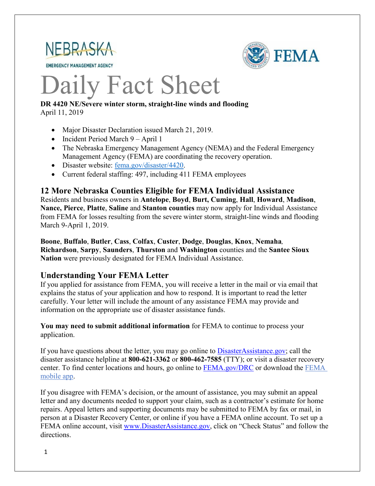

**EMERGENCY MANAGEMENT AGENCY** 



# Daily Fact Sheet

## **DR 4420 NE/Severe winter storm, straight-line winds and flooding**

April 11, 2019

- Major Disaster Declaration issued March 21, 2019.
- Incident Period March 9 April 1
- The Nebraska Emergency Management Agency (NEMA) and the Federal Emergency Management Agency (FEMA) are coordinating the recovery operation.
- Disaster website: [fema.gov/disaster/4420.](https://www.fema.gov/disaster/4420)
- Current federal staffing: 497, including 411 FEMA employees

#### **12 More Nebraska Counties Eligible for FEMA Individual Assistance**

Residents and business owners in **Antelope**, **Boyd**, **Burt, Cuming**, **Hall**, **Howard**, **Madison**, **Nance, Pierce**, **Platte**, **Saline** and **Stanton counties** may now apply for Individual Assistance from FEMA for losses resulting from the severe winter storm, straight-line winds and flooding March 9-April 1, 2019.

**Boone**, **Buffalo**, **Butler**, **Cass**, **Colfax**, **Custer**, **Dodge**, **Douglas**, **Knox**, **Nemaha***,* **Richardson**, **Sarpy**, **Saunders**, **Thurston** and **Washington** counties and the **Santee Sioux Nation** were previously designated for FEMA Individual Assistance.

## **Understanding Your FEMA Letter**

If you applied for assistance from FEMA, you will receive a letter in the mail or via email that explains the status of your application and how to respond. It is important to read the letter carefully. Your letter will include the amount of any assistance FEMA may provide and information on the appropriate use of disaster assistance funds.

**You may need to submit additional information** for FEMA to continue to process your application.

If you have questions about the letter, you may go online to [DisasterAssistance.gov;](http://www.disasterassistance.gov/) call the disaster assistance helpline at **800-621-3362** or **800-462-7585** (TTY); or visit a disaster recovery center. To find center locations and hours, go online to [FEMA.gov/DRC](https://www.fema.gov/disaster-recovery-centers) or download the [FEMA](https://www.fema.gov/mobile-app)  [mobile app.](https://www.fema.gov/mobile-app)

If you disagree with FEMA's decision, or the amount of assistance, you may submit an appeal letter and any documents needed to support your claim, such as a contractor's estimate for home repairs. Appeal letters and supporting documents may be submitted to FEMA by fax or mail, in person at a Disaster Recovery Center, or online if you have a FEMA online account. To set up a FEMA online account, visit [www.DisasterAssistance.gov,](http://www.disasterassistance.gov/) click on "Check Status" and follow the directions.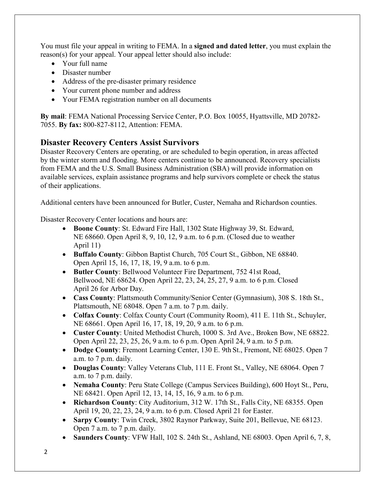You must file your appeal in writing to FEMA. In a **signed and dated letter**, you must explain the reason(s) for your appeal. Your appeal letter should also include:

- Your full name
- Disaster number
- Address of the pre-disaster primary residence
- Your current phone number and address
- Your FEMA registration number on all documents

**By mail**: FEMA National Processing Service Center, P.O. Box 10055, Hyattsville, MD 20782- 7055. **By fax:** 800-827-8112, Attention: FEMA.

## **Disaster Recovery Centers Assist Survivors**

Disaster Recovery Centers are operating, or are scheduled to begin operation, in areas affected by the winter storm and flooding. More centers continue to be announced. Recovery specialists from FEMA and the U.S. Small Business Administration (SBA) will provide information on available services, explain assistance programs and help survivors complete or check the status of their applications.

Additional centers have been announced for Butler, Custer, Nemaha and Richardson counties.

Disaster Recovery Center locations and hours are:

- **Boone County**: St. Edward Fire Hall, 1302 State Highway 39, St. Edward, NE 68660. Open April 8, 9, 10, 12, 9 a.m. to 6 p.m. (Closed due to weather April 11)
- **Buffalo County**: Gibbon Baptist Church, 705 Court St., Gibbon, NE 68840. Open April 15, 16, 17, 18, 19, 9 a.m. to 6 p.m.
- **Butler County**: Bellwood Volunteer Fire Department, 752 41st Road, Bellwood, NE 68624. Open April 22, 23, 24, 25, 27, 9 a.m. to 6 p.m. Closed April 26 for Arbor Day.
- **Cass County**: Plattsmouth Community/Senior Center (Gymnasium), 308 S. 18th St., Plattsmouth, NE 68048. Open 7 a.m. to 7 p.m. daily.
- **Colfax County**: Colfax County Court (Community Room), 411 E. 11th St., Schuyler, NE 68661. Open April 16, 17, 18, 19, 20, 9 a.m. to 6 p.m.
- **Custer County**: United Methodist Church, 1000 S. 3rd Ave., Broken Bow, NE 68822. Open April 22, 23, 25, 26, 9 a.m. to 6 p.m. Open April 24, 9 a.m. to 5 p.m.
- **Dodge County**: Fremont Learning Center, 130 E. 9th St., Fremont, NE 68025. Open 7 a.m. to 7 p.m. daily.
- **Douglas County**: Valley Veterans Club, 111 E. Front St., Valley, NE 68064. Open 7 a.m. to 7 p.m. daily.
- **Nemaha County**: Peru State College (Campus Services Building), 600 Hoyt St., Peru, NE 68421. Open April 12, 13, 14, 15, 16, 9 a.m. to 6 p.m.
- **Richardson County**: City Auditorium, 312 W. 17th St., Falls City, NE 68355. Open April 19, 20, 22, 23, 24, 9 a.m. to 6 p.m. Closed April 21 for Easter.
- **Sarpy County**: Twin Creek, 3802 Raynor Parkway, Suite 201, Bellevue, NE 68123. Open 7 a.m. to 7 p.m. daily.
- **Saunders County**: VFW Hall, 102 S. 24th St., Ashland, NE 68003. Open April 6, 7, 8,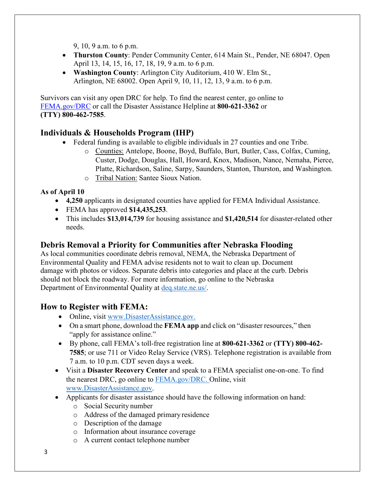9, 10, 9 a.m. to 6 p.m.

- **Thurston County**: Pender Community Center, 614 Main St., Pender, NE 68047. Open April 13, 14, 15, 16, 17, 18, 19, 9 a.m. to 6 p.m.
- **Washington County**: Arlington City Auditorium, 410 W. Elm St., Arlington, NE 68002. Open April 9, 10, 11, 12, 13, 9 a.m. to 6 p.m.

Survivors can visit any open DRC for help. To find the nearest center, go online to [FEMA.gov/DRC](http://www.fema.gov/DRC) or call the Disaster Assistance Helpline at **800-621-3362** or **(TTY) 800-462-7585**.

## **Individuals & Households Program (IHP)**

- Federal funding is available to eligible individuals in 27 counties and one Tribe.
	- o Counties: Antelope, Boone, Boyd, Buffalo, Burt, Butler, Cass, Colfax, Cuming, Custer, Dodge, Douglas, Hall, Howard, Knox, Madison, Nance, Nemaha, Pierce, Platte, Richardson, Saline, Sarpy, Saunders, Stanton, Thurston, and Washington.
	- o Tribal Nation: Santee Sioux Nation.

**As of April 10**

- **4,250** applicants in designated counties have applied for FEMA Individual Assistance.
- FEMA has approved **\$14,435,253**.
- This includes **\$13,014,739** for housing assistance and **\$1,420,514** for disaster-related other needs.

## **Debris Removal a Priority for Communities after Nebraska Flooding**

As local communities coordinate debris removal, NEMA, the Nebraska Department of Environmental Quality and FEMA advise residents not to wait to clean up. Document damage with photos or videos. Separate debris into categories and place at the curb. Debris should not block the roadway. For more information, go online to the Nebraska Department of Environmental Quality at [deq.state.ne.us/.](http://www.deq.state.ne.us/)

## **How to Register with FEMA:**

- Online, visit [www.DisasterAssistance.gov.](http://www.disasterassistance.gov/)
- On a smart phone, download the **FEMA app** and click on "disaster resources," then "apply for assistance online."
- By phone, call FEMA's toll-free registration line at **800-621-3362** or **(TTY) 800-462- 7585**; or use 711 or Video Relay Service (VRS). Telephone registration is available from 7 a.m. to 10 p.m. CDT seven days a week.
- Visit a **Disaster Recovery Center** and speak to a FEMA specialist one-on-one. To find the nearest DRC, go online to [FEMA.gov/DRC.](http://www.fema.gov/DRC) Online, visit [www.DisasterAssistance.gov.](http://www.disasterassistance.gov/)
- Applicants for disaster assistance should have the following information on hand:
	- o Social Security number
	- o Address of the damaged primary residence
	- o Description of the damage
	- o Information about insurance coverage
	- o A current contact telephone number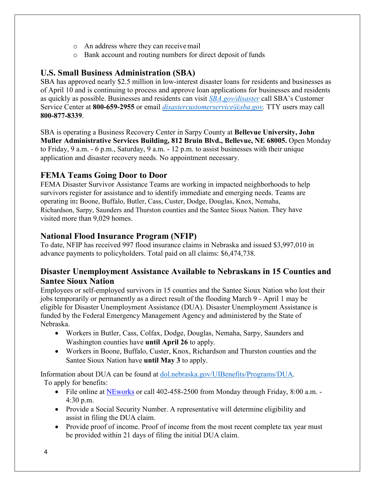- o An address where they can receivemail
- o Bank account and routing numbers for direct deposit of funds

## **U.S. Small Business Administration (SBA)**

SBA has approved nearly \$2.5 million in low-interest disaster loans for residents and businesses as of April 10 and is continuing to process and approve loan applications for businesses and residents as quickly as possible. Businesses and residents can visit *[SBA.gov/disaster](http://www.sba.gov/disaster)* call SBA's Customer Service Center at **800-659-2955** or email *[disastercustomerservice@sba.gov.](mailto:disastercustomerservice@sba.gov)* TTY users may call **800-877-8339**.

SBA is operating a Business Recovery Center in Sarpy County at **Bellevue University, John Muller Administrative Services Building, 812 Bruin Blvd., Bellevue, NE 68005.** Open Monday to Friday, 9 a.m. - 6 p.m., Saturday, 9 a.m. - 12 p.m. to assist businesses with their unique application and disaster recovery needs. No appointment necessary.

## **FEMA Teams Going Door to Door**

FEMA Disaster Survivor Assistance Teams are working in impacted neighborhoods to help survivors register for assistance and to identify immediate and emerging needs. Teams are operating in**:** Boone, Buffalo, Butler, Cass, Custer, Dodge, Douglas, Knox, Nemaha, Richardson, Sarpy, Saunders and Thurston counties and the Santee Sioux Nation. They have visited more than 9,029 homes.

## **National Flood Insurance Program (NFIP)**

To date, NFIP has received 997 flood insurance claims in Nebraska and issued \$3,997,010 in advance payments to policyholders. Total paid on all claims: \$6,474,738.

## **Disaster Unemployment Assistance Available to Nebraskans in 15 Counties and Santee Sioux Nation**

Employees or self-employed survivors in 15 counties and the Santee Sioux Nation who lost their jobs temporarily or permanently as a direct result of the flooding March 9 - April 1 may be eligible for Disaster Unemployment Assistance (DUA). Disaster Unemployment Assistance is funded by the Federal Emergency Management Agency and administered by the State of Nebraska.

- Workers in Butler, Cass, Colfax, Dodge, Douglas, Nemaha, Sarpy, Saunders and Washington counties have **until April 26** to apply.
- Workers in Boone, Buffalo, Custer, Knox, Richardson and Thurston counties and the Santee Sioux Nation have **until May 3** to apply.

Information about DUA can be found at [dol.nebraska.gov/UIBenefits/Programs/DUA.](https://dol.nebraska.gov/UIBenefits/Programs/DUA) To apply for benefits:

- File online at [NEworks](https://dol.nebraska.gov/UIBenefits/Programs/DUA/FilingAClaim) or call 402-458-2500 from Monday through Friday, 8:00 a.m. -4:30 p.m.
- Provide a Social Security Number. A representative will determine eligibility and assist in filing the DUA claim.
- Provide proof of income. Proof of income from the most recent complete tax year must be provided within 21 days of filing the initial DUA claim.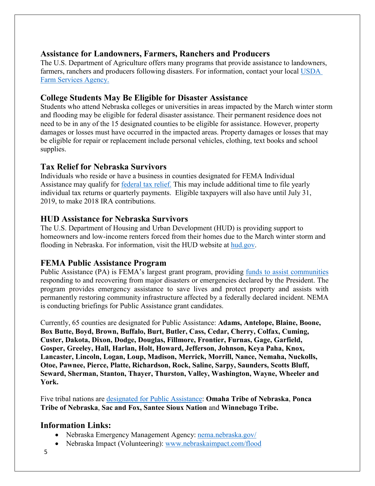#### **Assistance for Landowners, Farmers, Ranchers and Producers**

The U.S. Department of Agriculture offers many programs that provide assistance to landowners, farmers, ranchers and producers following disasters. For information, contact your local [USDA](https://www.fsa.usda.gov/)  [Farm Services Agency.](https://www.fsa.usda.gov/)

## **College Students May Be Eligible for Disaster Assistance**

Students who attend Nebraska colleges or universities in areas impacted by the March winter storm and flooding may be eligible for federal disaster assistance. Their permanent residence does not need to be in any of the 15 designated counties to be eligible for assistance. However, property damages or losses must have occurred in the impacted areas. Property damages or losses that may be eligible for repair or replacement include personal vehicles, clothing, text books and school supplies.

## **Tax Relief for Nebraska Survivors**

Individuals who reside or have a business in counties designated for FEMA Individual Assistance may qualify for [federal tax relief.](https://www.irs.gov/newsroom/irs-announces-tax-relief-for-nebraska-victims-of-severe-winter-storm-straight-line-winds-and-flooding) This may include additional time to file yearly individual tax returns or quarterly payments. Eligible taxpayers will also have until July 31, 2019, to make 2018 IRA contributions.

## **HUD Assistance for Nebraska Survivors**

The U.S. Department of Housing and Urban Development (HUD) is providing support to homeowners and low-income renters forced from their homes due to the March winter storm and flooding in Nebraska. For information, visit the HUD website at [hud.gov.](https://www.hud.gov/)

## **FEMA Public Assistance Program**

Public Assistance (PA) is FEMA's largest grant program, providing [funds to assist communities](https://www.fema.gov/public-assistance-policy-and-guidance) responding to and recovering from major disasters or emergencies declared by the President. The program provides emergency assistance to save lives and protect property and assists with permanently restoring community infrastructure affected by a federally declared incident. NEMA is conducting briefings for Public Assistance grant candidates.

Currently, 65 counties are designated for Public Assistance: **Adams, Antelope, Blaine, Boone, Box Butte, Boyd, Brown, Buffalo, Burt, Butler, Cass, Cedar, Cherry, Colfax, Cuming, Custer, Dakota, Dixon, Dodge, Douglas, Fillmore, Frontier, Furnas, Gage, Garfield, Gosper, Greeley, Hall, Harlan, Holt, Howard, Jefferson, Johnson, Keya Paha, Knox, Lancaster, Lincoln, Logan, Loup, Madison, Merrick, Morrill, Nance, Nemaha, Nuckolls, Otoe, Pawnee, Pierce, Platte, Richardson, Rock, Saline, Sarpy, Saunders, Scotts Bluff, Seward, Sherman, Stanton, Thayer, Thurston, Valley, Washington, Wayne, Wheeler and York.**

Five tribal nations are [designated for Public Assistance:](https://www.fema.gov/disaster/4420) **Omaha Tribe of Nebraska**, **Ponca Tribe of Nebraska**, **Sac and Fox, Santee Sioux Nation** and **Winnebago Tribe.**

#### **Information Links:**

- Nebraska Emergency Management Agency: [nema.nebraska.gov/](https://nema.nebraska.gov/)
- Nebraska Impact (Volunteering): [www.nebraskaimpact.com/flood](http://www.nebraskaimpact.com/flood)
- 5